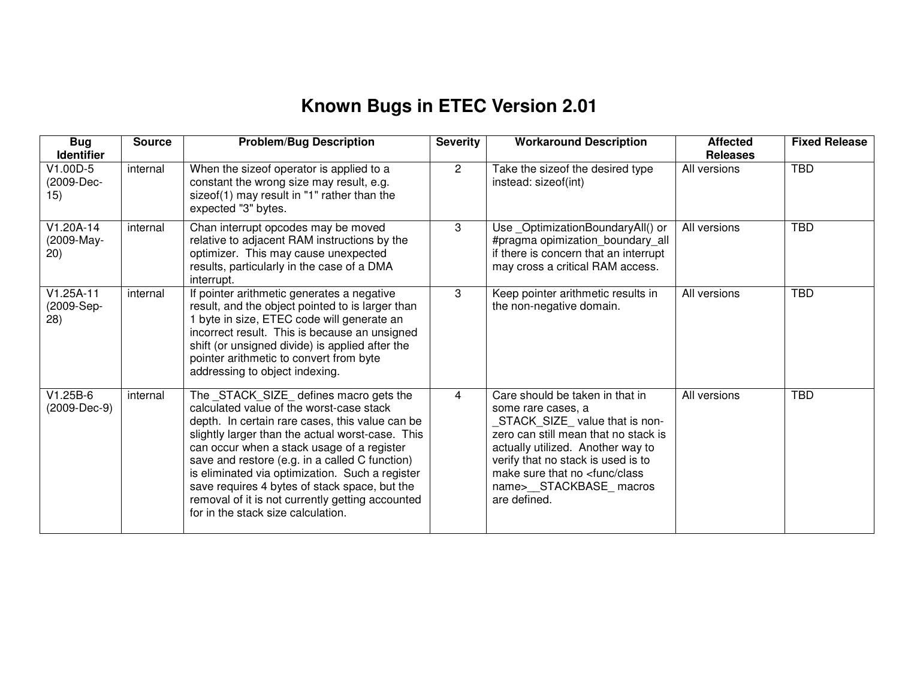## **Known Bugs in ETEC Version 2.01**

| <b>Bug</b><br><b>Identifier</b>   | <b>Source</b> | <b>Problem/Bug Description</b>                                                                                                                                                                                                                                                                                                                                                                                                                                                           | <b>Severity</b> | <b>Workaround Description</b>                                                                                                                                                                                                                                                                       | <b>Affected</b><br><b>Releases</b> | <b>Fixed Release</b> |
|-----------------------------------|---------------|------------------------------------------------------------------------------------------------------------------------------------------------------------------------------------------------------------------------------------------------------------------------------------------------------------------------------------------------------------------------------------------------------------------------------------------------------------------------------------------|-----------------|-----------------------------------------------------------------------------------------------------------------------------------------------------------------------------------------------------------------------------------------------------------------------------------------------------|------------------------------------|----------------------|
| V1.00D-5<br>(2009-Dec-<br>15)     | internal      | When the sizeof operator is applied to a<br>constant the wrong size may result, e.g.<br>sizeof(1) may result in "1" rather than the<br>expected "3" bytes.                                                                                                                                                                                                                                                                                                                               | $\overline{2}$  | Take the sizeof the desired type<br>instead: sizeof(int)                                                                                                                                                                                                                                            | All versions                       | <b>TBD</b>           |
| V1.20A-14<br>(2009-May-<br>(20)   | internal      | Chan interrupt opcodes may be moved<br>relative to adjacent RAM instructions by the<br>optimizer. This may cause unexpected<br>results, particularly in the case of a DMA<br>interrupt.                                                                                                                                                                                                                                                                                                  | 3               | Use_OptimizationBoundaryAll() or<br>#pragma opimization_boundary_all<br>if there is concern that an interrupt<br>may cross a critical RAM access.                                                                                                                                                   | All versions                       | <b>TBD</b>           |
| $V1.25A-11$<br>(2009-Sep-<br>(28) | internal      | If pointer arithmetic generates a negative<br>result, and the object pointed to is larger than<br>1 byte in size, ETEC code will generate an<br>incorrect result. This is because an unsigned<br>shift (or unsigned divide) is applied after the<br>pointer arithmetic to convert from byte<br>addressing to object indexing.                                                                                                                                                            | 3               | Keep pointer arithmetic results in<br>the non-negative domain.                                                                                                                                                                                                                                      | All versions                       | <b>TBD</b>           |
| $V1.25B-6$<br>(2009-Dec-9)        | internal      | The _STACK_SIZE_ defines macro gets the<br>calculated value of the worst-case stack<br>depth. In certain rare cases, this value can be<br>slightly larger than the actual worst-case. This<br>can occur when a stack usage of a register<br>save and restore (e.g. in a called C function)<br>is eliminated via optimization. Such a register<br>save requires 4 bytes of stack space, but the<br>removal of it is not currently getting accounted<br>for in the stack size calculation. | 4               | Care should be taken in that in<br>some rare cases, a<br>STACK_SIZE_value that is non-<br>zero can still mean that no stack is<br>actually utilized. Another way to<br>verify that no stack is used is to<br>make sure that no <func class<br="">name&gt;__STACKBASE_macros<br/>are defined.</func> | All versions                       | <b>TBD</b>           |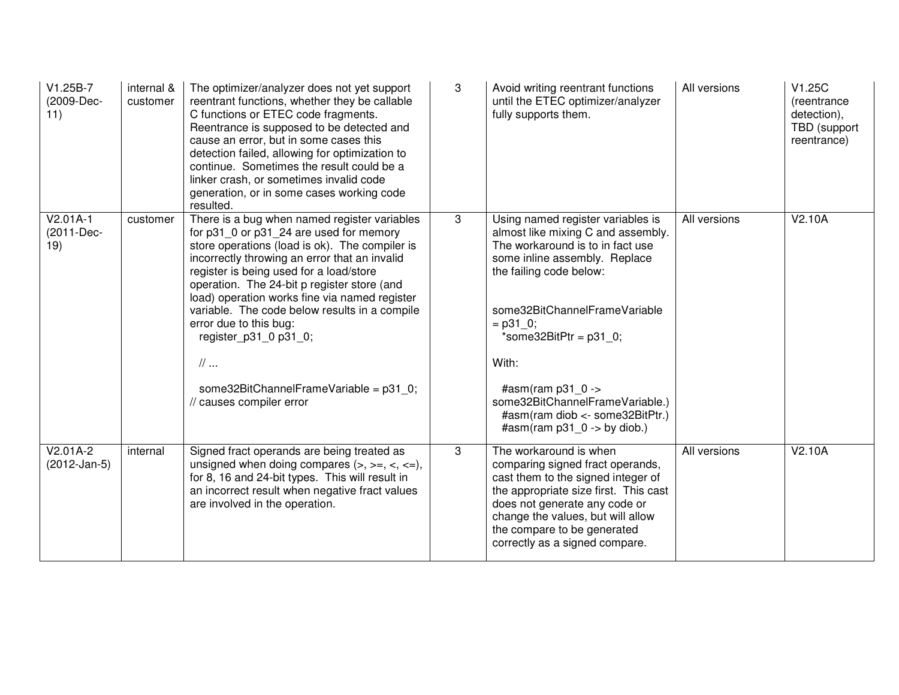| V1.25B-7<br>(2009-Dec-<br>11)   | internal &<br>customer | The optimizer/analyzer does not yet support<br>reentrant functions, whether they be callable<br>C functions or ETEC code fragments.<br>Reentrance is supposed to be detected and<br>cause an error, but in some cases this<br>detection failed, allowing for optimization to<br>continue. Sometimes the result could be a<br>linker crash, or sometimes invalid code<br>generation, or in some cases working code<br>resulted.                                                                                                   | 3 | Avoid writing reentrant functions<br>until the ETEC optimizer/analyzer<br>fully supports them.                                                                                                                                                                                                                                                                                            | All versions | V1.25C<br>(reentrance<br>detection),<br>TBD (support<br>reentrance) |
|---------------------------------|------------------------|----------------------------------------------------------------------------------------------------------------------------------------------------------------------------------------------------------------------------------------------------------------------------------------------------------------------------------------------------------------------------------------------------------------------------------------------------------------------------------------------------------------------------------|---|-------------------------------------------------------------------------------------------------------------------------------------------------------------------------------------------------------------------------------------------------------------------------------------------------------------------------------------------------------------------------------------------|--------------|---------------------------------------------------------------------|
| $V2.01A-1$<br>(2011-Dec-<br>19) | customer               | There is a bug when named register variables<br>for p31_0 or p31_24 are used for memory<br>store operations (load is ok). The compiler is<br>incorrectly throwing an error that an invalid<br>register is being used for a load/store<br>operation. The 24-bit p register store (and<br>load) operation works fine via named register<br>variable. The code below results in a compile<br>error due to this bug:<br>register_p31_0 p31_0;<br>$\mathcal{U}$<br>some32BitChannelFrameVariable = p31 0;<br>// causes compiler error | 3 | Using named register variables is<br>almost like mixing C and assembly.<br>The workaround is to in fact use<br>some inline assembly. Replace<br>the failing code below:<br>some32BitChannelFrameVariable<br>$=$ p31 0;<br>*some32BitPtr = $p31$ 0;<br>With:<br>#asm(ram $p31$ 0 -><br>some32BitChannelFrameVariable.)<br>#asm(ram diob <- some32BitPtr.)<br>#asm(ram $p31$ 0 -> by diob.) | All versions | V2.10A                                                              |
| $V2.01A-2$<br>$(2012-Jan-5)$    | internal               | Signed fract operands are being treated as<br>unsigned when doing compares $(>, \, > =, \, <, \, =),$<br>for 8, 16 and 24-bit types. This will result in<br>an incorrect result when negative fract values<br>are involved in the operation.                                                                                                                                                                                                                                                                                     | 3 | The workaround is when<br>comparing signed fract operands,<br>cast them to the signed integer of<br>the appropriate size first. This cast<br>does not generate any code or<br>change the values, but will allow<br>the compare to be generated<br>correctly as a signed compare.                                                                                                          | All versions | V2.10A                                                              |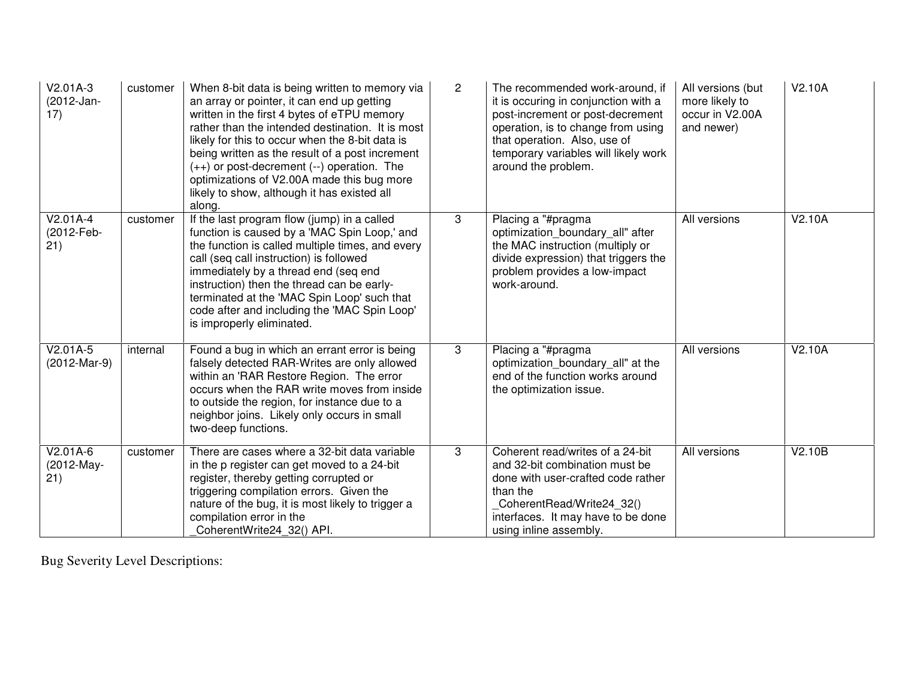| $V2.01A-3$<br>(2012-Jan-<br>17) | customer | When 8-bit data is being written to memory via<br>an array or pointer, it can end up getting<br>written in the first 4 bytes of eTPU memory<br>rather than the intended destination. It is most<br>likely for this to occur when the 8-bit data is<br>being written as the result of a post increment<br>$(++)$ or post-decrement $(-)$ operation. The<br>optimizations of V2.00A made this bug more<br>likely to show, although it has existed all<br>along. | $\mathbf{2}$ | The recommended work-around, if<br>it is occuring in conjunction with a<br>post-increment or post-decrement<br>operation, is to change from using<br>that operation. Also, use of<br>temporary variables will likely work<br>around the problem. | All versions (but<br>more likely to<br>occur in V2.00A<br>and newer) | V2.10A |
|---------------------------------|----------|---------------------------------------------------------------------------------------------------------------------------------------------------------------------------------------------------------------------------------------------------------------------------------------------------------------------------------------------------------------------------------------------------------------------------------------------------------------|--------------|--------------------------------------------------------------------------------------------------------------------------------------------------------------------------------------------------------------------------------------------------|----------------------------------------------------------------------|--------|
| $V2.01A-4$<br>(2012-Feb-<br>21) | customer | If the last program flow (jump) in a called<br>function is caused by a 'MAC Spin Loop,' and<br>the function is called multiple times, and every<br>call (seq call instruction) is followed<br>immediately by a thread end (seq end<br>instruction) then the thread can be early-<br>terminated at the 'MAC Spin Loop' such that<br>code after and including the 'MAC Spin Loop'<br>is improperly eliminated.                                                  | 3            | Placing a "#pragma<br>optimization_boundary_all" after<br>the MAC instruction (multiply or<br>divide expression) that triggers the<br>problem provides a low-impact<br>work-around.                                                              | All versions                                                         | V2.10A |
| $V2.01A-5$<br>(2012-Mar-9)      | internal | Found a bug in which an errant error is being<br>falsely detected RAR-Writes are only allowed<br>within an 'RAR Restore Region. The error<br>occurs when the RAR write moves from inside<br>to outside the region, for instance due to a<br>neighbor joins. Likely only occurs in small<br>two-deep functions.                                                                                                                                                | 3            | Placing a "#pragma<br>optimization boundary all" at the<br>end of the function works around<br>the optimization issue.                                                                                                                           | All versions                                                         | V2.10A |
| V2.01A-6<br>(2012-May-<br>21)   | customer | There are cases where a 32-bit data variable<br>in the p register can get moved to a 24-bit<br>register, thereby getting corrupted or<br>triggering compilation errors. Given the<br>nature of the bug, it is most likely to trigger a<br>compilation error in the<br>CoherentWrite24 32() API.                                                                                                                                                               | 3            | Coherent read/writes of a 24-bit<br>and 32-bit combination must be<br>done with user-crafted code rather<br>than the<br>CoherentRead/Write24 32()<br>interfaces. It may have to be done<br>using inline assembly.                                | All versions                                                         | V2.10B |

Bug Severity Level Descriptions: